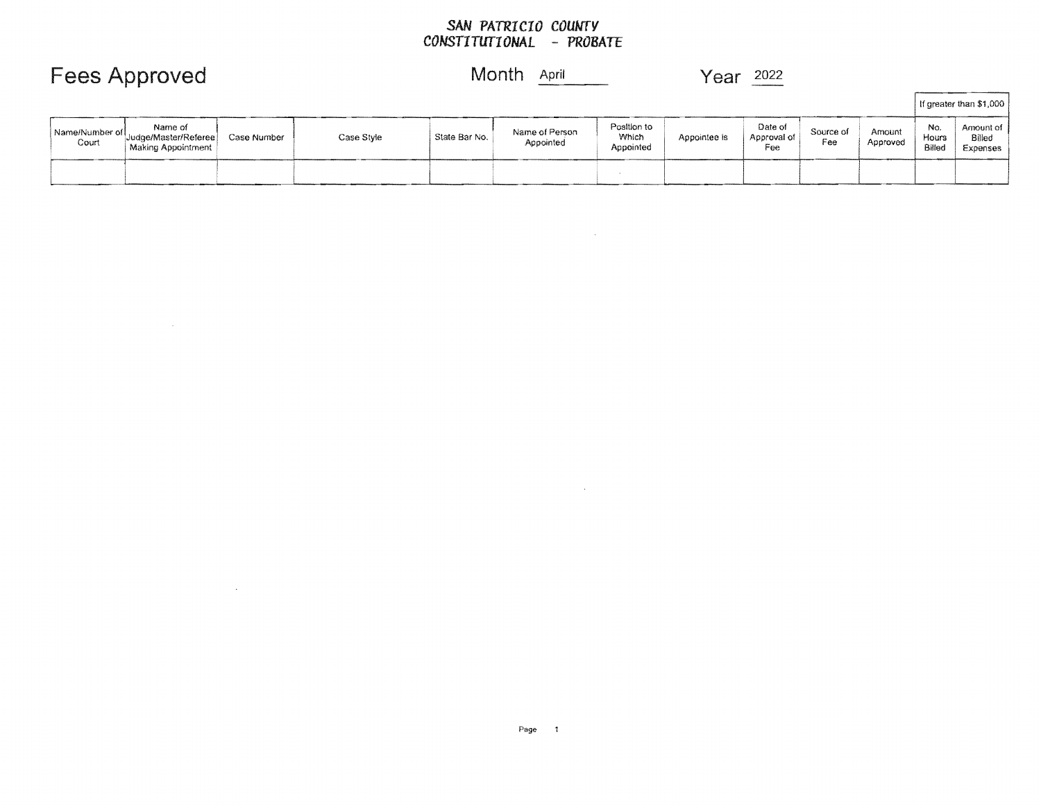#### *SAN PATRICIO COUNTY CONSTITUTIONAL* **-** *PROBATE*

 $\mathcal{L}(\mathcal{L}(\mathcal{L}(\mathcal{L}(\mathcal{L}(\mathcal{L}(\mathcal{L}(\mathcal{L}(\mathcal{L}(\mathcal{L}(\mathcal{L}(\mathcal{L}(\mathcal{L}(\mathcal{L}(\mathcal{L}(\mathcal{L}(\mathcal{L}(\mathcal{L}(\mathcal{L}(\mathcal{L}(\mathcal{L}(\mathcal{L}(\mathcal{L}(\mathcal{L}(\mathcal{L}(\mathcal{L}(\mathcal{L}(\mathcal{L}(\mathcal{L}(\mathcal{L}(\mathcal{L}(\mathcal{L}(\mathcal{L}(\mathcal{L}(\mathcal{L}(\mathcal{L}(\mathcal{$ 

|                         |                                                       |             |            |               |                             |                                   |              |                               |                  |                    |                        | If greater than \$1,000         |
|-------------------------|-------------------------------------------------------|-------------|------------|---------------|-----------------------------|-----------------------------------|--------------|-------------------------------|------------------|--------------------|------------------------|---------------------------------|
| Name/Number of<br>Court | Name of<br>Judge/Master/Referee<br>Making Appointment | Case Number | Case Style | State Bar No. | Name of Person<br>Appointed | Position to<br>Which<br>Appointed | Appointee is | Date of<br>Approval of<br>Fee | Source of<br>Fee | Amount<br>Approved | No.<br>Hours<br>Billed | Amount of<br>Billed<br>Expenses |
|                         |                                                       |             |            |               |                             |                                   |              |                               |                  |                    |                        |                                 |

## Fees Approved Month **April 1998** Year 2022

 $\mathcal{L}^{\text{max}}_{\text{max}}$  and  $\mathcal{L}^{\text{max}}_{\text{max}}$ 

 $\mathcal{L}^{\text{max}}_{\text{max}}$  , where  $\mathcal{L}^{\text{max}}_{\text{max}}$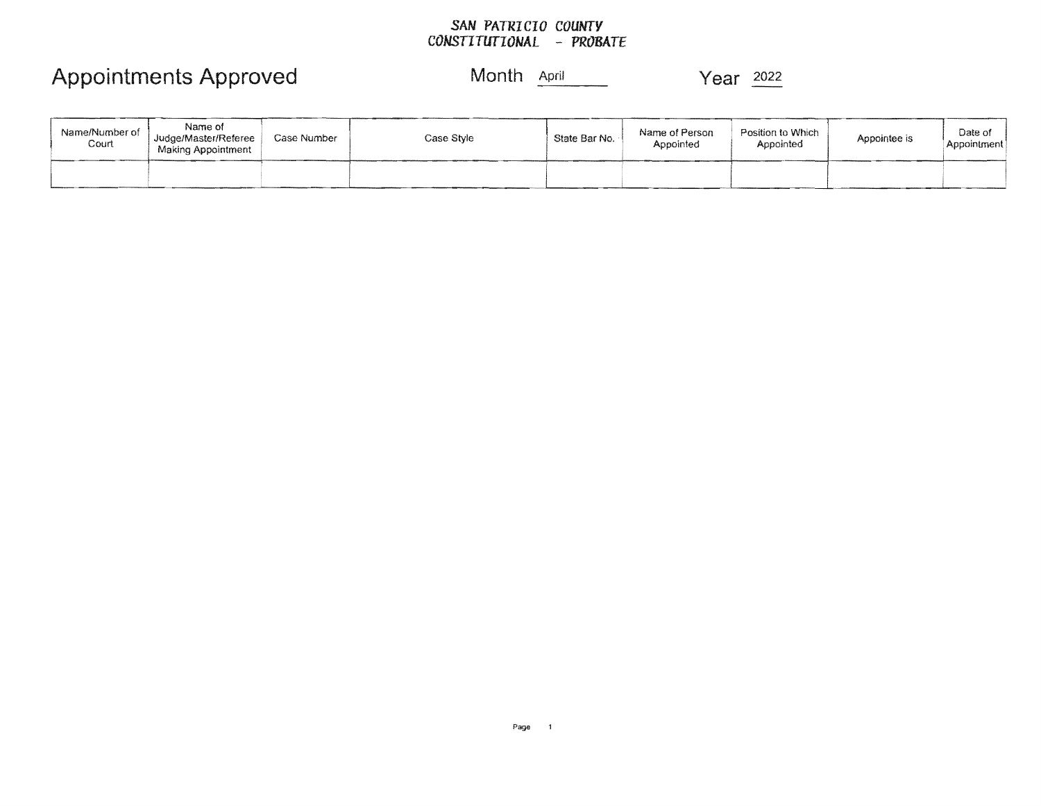#### *SAN PATRICIO COUNTY CONSTITUTIONAL* **-** *PROBATE*

## Appointments Approved Month **April 1996** Year 2022

| Name/Number of<br>Court | Name of<br>Judge/Master/Referee<br>Making Appointment | Case Number | Case Style | State Bar No. | Name of Person<br>Appointed | Position to Which<br>Appointed | Appointee is | Date of<br>Appointment |
|-------------------------|-------------------------------------------------------|-------------|------------|---------------|-----------------------------|--------------------------------|--------------|------------------------|
|                         |                                                       |             |            |               |                             |                                |              |                        |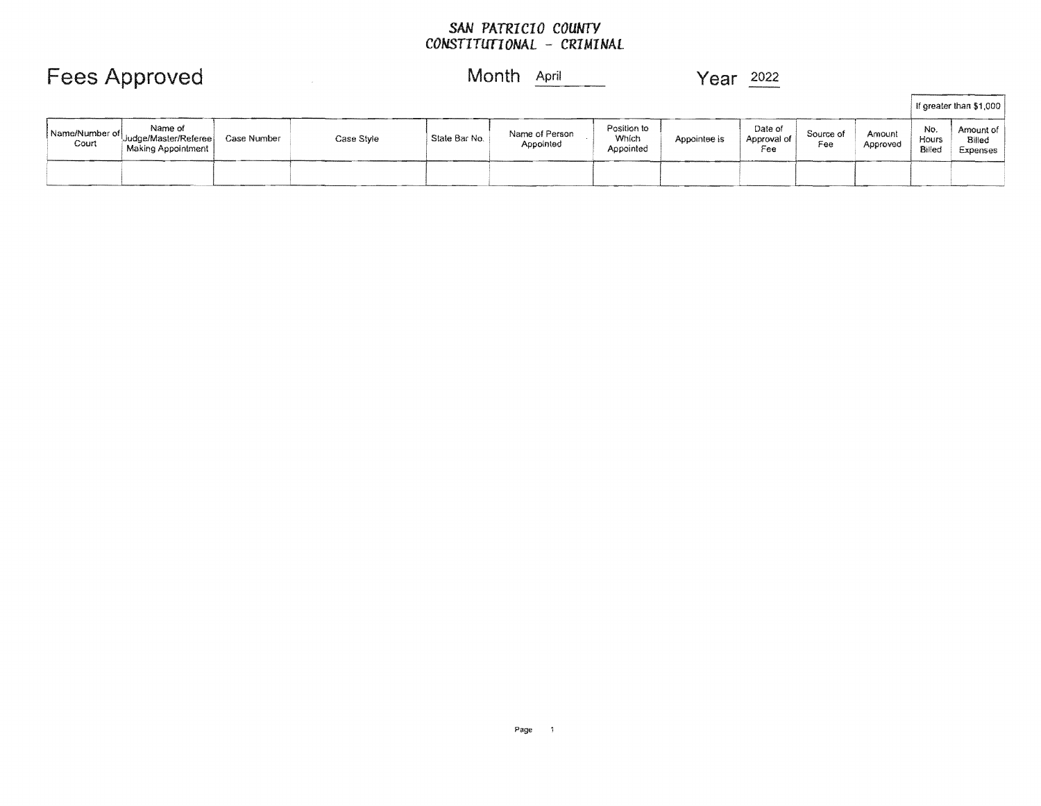#### *SAN PATRICIO COUNTY*  CONSTITUTIONAL - CRIMINAL

|                         | <b>Fees Approved</b>                                  |             |            | Month<br>April |                             |                                   | Year<br>2022 |                               |                  |                    |                        |                                 |
|-------------------------|-------------------------------------------------------|-------------|------------|----------------|-----------------------------|-----------------------------------|--------------|-------------------------------|------------------|--------------------|------------------------|---------------------------------|
|                         |                                                       |             |            |                |                             |                                   |              |                               |                  |                    |                        | If greater than \$1,000         |
| Name/Number of<br>Court | Name of<br>Judge/Master/Referee<br>Making Appointment | Case Number | Case Style | State Bar No.  | Name of Person<br>Appointed | Position to<br>Which<br>Appointed | Appointee is | Date of<br>Approval of<br>Fee | Source of<br>Fee | Amount<br>Approved | No.<br>Hours<br>Billed | Amount of<br>Billed<br>Expenses |
|                         |                                                       |             |            |                |                             |                                   |              |                               |                  |                    |                        |                                 |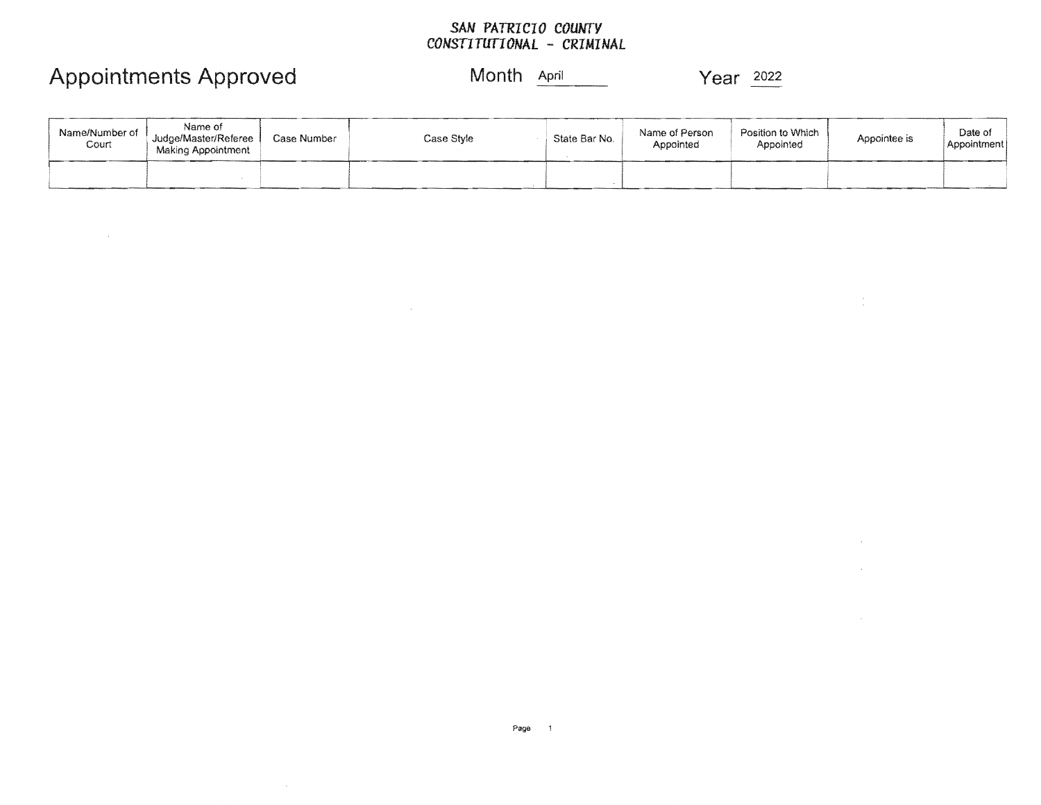### *SAN PATRICIO COUNTY CONSTITUTIONAL* **-** *CRIMINAL*

## Appointments Approved Month **April 1996** Year 2022

 $\sim 10^{-1}$ 

### Month April

 $\frac{1}{2}$ 

 $\sim$ 

 $\sim 10^{-1}$ 

| Name/Number of<br>Court | Name of<br>Judge/Master/Referee<br>Making Appointment | Case Number | Case Style | State Bar No. | Name of Person<br>Appointed | Position to Which.<br>Appointed | Appointee is | Date of<br>Appointment |
|-------------------------|-------------------------------------------------------|-------------|------------|---------------|-----------------------------|---------------------------------|--------------|------------------------|
|                         |                                                       |             |            |               |                             |                                 |              |                        |

 $\mathcal{L}^{\text{max}}_{\text{max}}$  and  $\mathcal{L}^{\text{max}}_{\text{max}}$ 

 $\sim 10^{11}$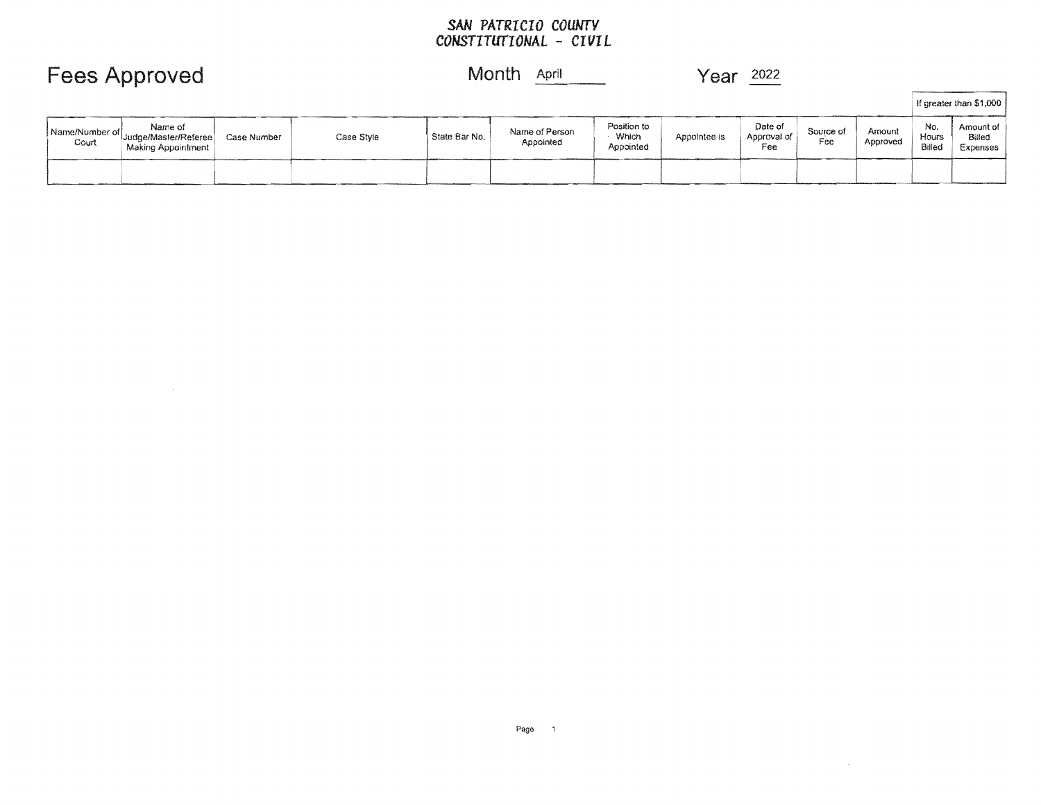#### SAN *PATRICIO COUNTY CONSTITUTIONAL* - *CIVIL*

|                         |                                                       |             |            |               |                             |                                   |              |                               |                  |                    |                        | If greater than \$1,000         |
|-------------------------|-------------------------------------------------------|-------------|------------|---------------|-----------------------------|-----------------------------------|--------------|-------------------------------|------------------|--------------------|------------------------|---------------------------------|
| Name/Number of<br>Court | Name of<br>Judge/Master/Referee<br>Making Appointment | Case Number | Case Style | State Bar No. | Name of Person<br>Appointed | Position to<br>Which<br>Appointed | Appointee is | Date of<br>Approval of<br>Fee | Source of<br>Fee | Amount<br>Approved | No.<br>Hours<br>Billed | Amount of<br>Billed<br>Expenses |
|                         |                                                       |             |            |               |                             |                                   |              |                               |                  |                    |                        |                                 |

### Fees Approved and Month April Month April 1992 Year 2022

 $\sim 10^{11}$ 

 $\sim 10^{11}$  km  $^{-1}$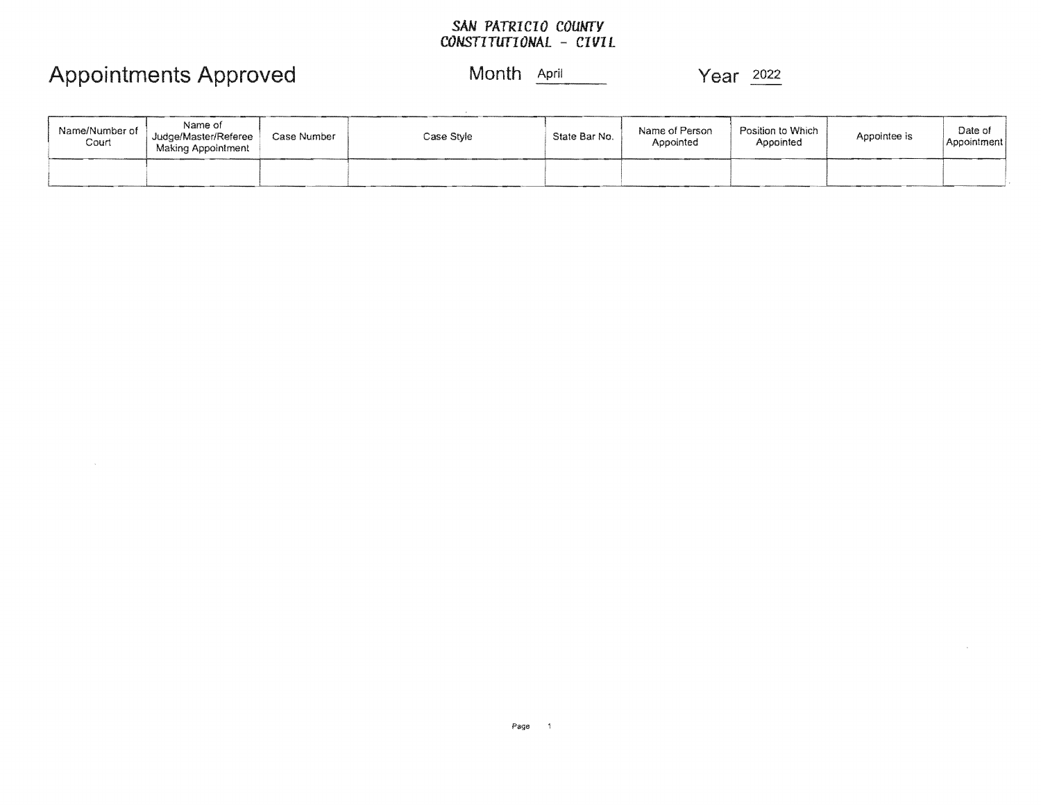### *SAN PATRICIO COUNTY CONSTITUTIONAL CIVIL*

# Appointments Approved Month **April**

 $\sim$ 

 $\sim$ 

Year 2022

| Name/Number of<br>Court | Name of<br>Judge/Master/Referee<br>Making Appointment | Case Number | Case Style | State Bar No. | Name of Person<br>Appointed | Position to Which<br>Appointed | Appointee is | Date of<br>Appointment |
|-------------------------|-------------------------------------------------------|-------------|------------|---------------|-----------------------------|--------------------------------|--------------|------------------------|
|                         |                                                       |             |            |               |                             |                                |              |                        |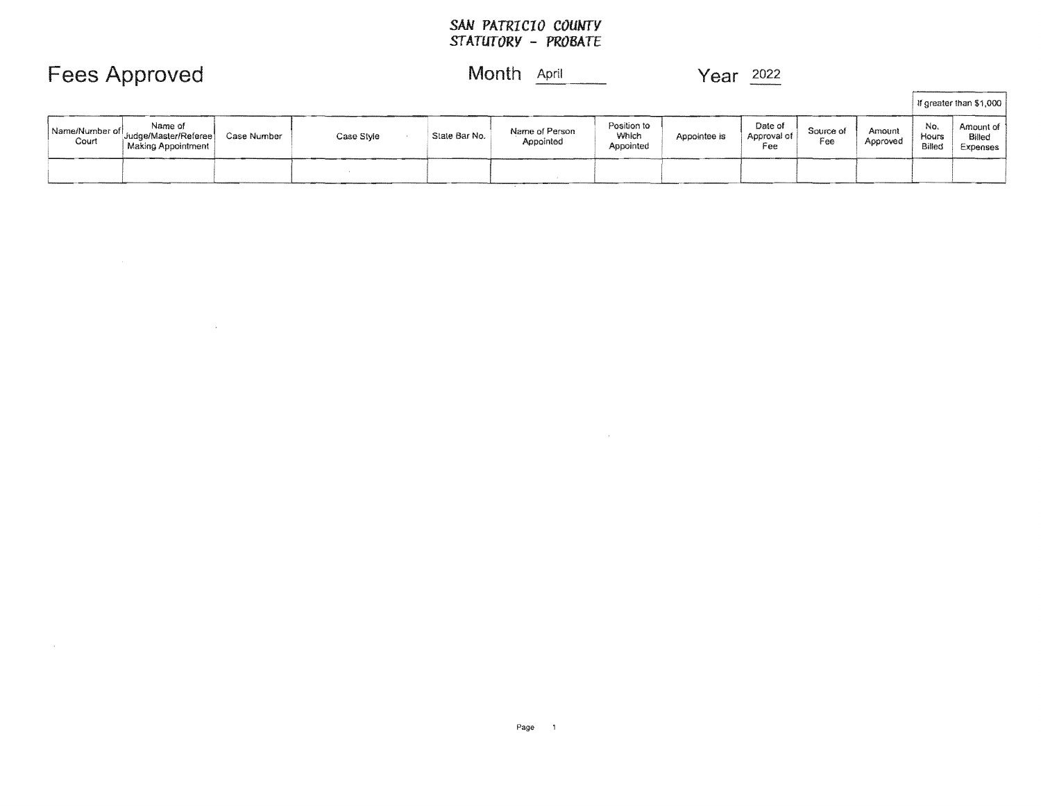#### *SAN PATRICIO COUNTY STATUTORY* **-** *PROBATE*

### **Approved** Month **April 1997** Year 2022

 $\sim 10^7$ 

 $\sim 100$ 

|                           |                                                       |             |            |               |                             |                                   |              |                               |                  |                    |                        | If greater than \$1,000         |
|---------------------------|-------------------------------------------------------|-------------|------------|---------------|-----------------------------|-----------------------------------|--------------|-------------------------------|------------------|--------------------|------------------------|---------------------------------|
| Name/Number of  <br>Court | Name of<br>Judge/Master/Referee<br>Making Appointment | Case Number | Case Style | State Bar No. | Name of Person<br>Appointed | Position to<br>Which<br>Appointed | Appointee is | Date of<br>Approval of<br>Fee | Source of<br>Fee | Amount<br>Approved | No.<br>Hours<br>Billed | Amount of<br>Billed<br>Expenses |
|                           |                                                       |             |            |               |                             |                                   |              |                               |                  |                    |                        |                                 |

 $\sim 10^6$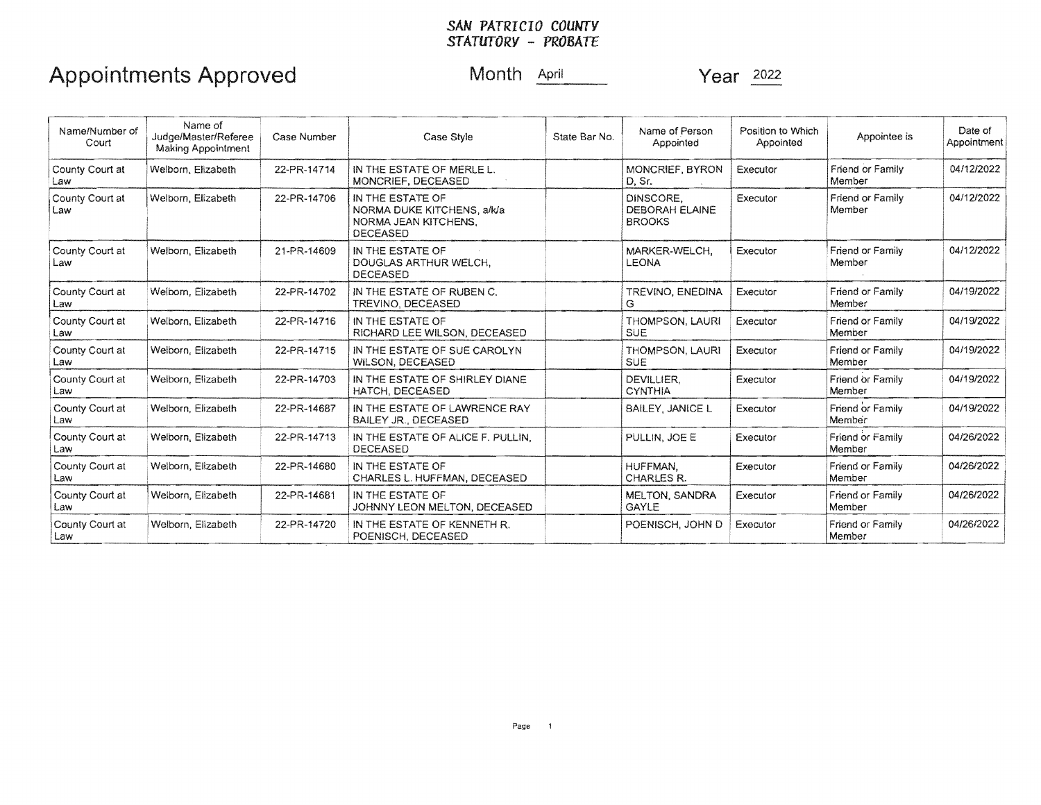### *SAN PATRICIO COUNTY STATUTORY* - *PROBATE*

# Appointments Approved Month April Vear 2022

| Name/Number of<br>Court | Name of<br>Judge/Master/Referee<br>Making Appointment | Case Number | Case Style                                                                                       | State Bar No. | Name of Person<br>Appointed                  | Position to Which<br>Appointed | Appointee is               | Date of<br>Appointment |
|-------------------------|-------------------------------------------------------|-------------|--------------------------------------------------------------------------------------------------|---------------|----------------------------------------------|--------------------------------|----------------------------|------------------------|
| County Court at<br>Law  | Welborn, Elizabeth                                    | 22-PR-14714 | IN THE ESTATE OF MERLE L.<br>MONCRIEF, DECEASED                                                  |               | MONCRIEF, BYRON<br>D. Sr.                    | Executor                       | Friend or Family<br>Member | 04/12/2022             |
| County Court at<br>Law  | Welborn, Elizabeth                                    | 22-PR-14706 | IN THE ESTATE OF<br>NORMA DUKE KITCHENS, a/k/a<br><b>NORMA JEAN KITCHENS,</b><br><b>DECEASED</b> |               | DINSCORE.<br>DEBORAH ELAINE<br><b>BROOKS</b> | Executor                       | Friend or Family<br>Member | 04/12/2022             |
| County Court at<br>Law  | Welborn, Elizabeth                                    | 21-PR-14609 | IN THE ESTATE OF<br>DOUGLAS ARTHUR WELCH.<br><b>DECEASED</b>                                     |               | MARKER-WELCH.<br><b>LEONA</b>                | Executor                       | Friend or Family<br>Member | 04/12/2022             |
| County Court at<br>Law  | Welborn, Elizabeth                                    | 22-PR-14702 | IN THE ESTATE OF RUBEN C.<br>TREVINO, DECEASED                                                   |               | TREVINO, ENEDINA<br>G                        | Executor                       | Friend or Family<br>Member | 04/19/2022             |
| County Court at<br>Law  | Welborn, Elizabeth                                    | 22-PR-14716 | IN THE ESTATE OF<br>RICHARD LEE WILSON, DECEASED                                                 |               | <b>THOMPSON, LAURI</b><br><b>SUE</b>         | Executor                       | Friend or Family<br>Member | 04/19/2022             |
| County Court at<br>Law  | Welborn, Elizabeth                                    | 22-PR-14715 | IN THE ESTATE OF SUE CAROLYN<br><b>WILSON, DECEASED</b>                                          |               | <b>THOMPSON, LAURI</b><br><b>SUE</b>         | Executor                       | Friend or Family<br>Member | 04/19/2022             |
| County Court at<br>Law  | Welborn, Elizabeth                                    | 22-PR-14703 | IN THE ESTATE OF SHIRLEY DIANE<br>HATCH, DECEASED                                                |               | DEVILLIER.<br><b>CYNTHIA</b>                 | Executor                       | Friend or Family<br>Member | 04/19/2022             |
| County Court at<br>Law  | Welborn, Elizabeth                                    | 22-PR-14687 | IN THE ESTATE OF LAWRENCE RAY<br><b>BAILEY JR., DECEASED</b>                                     |               | BAILEY, JANICE L                             | Executor                       | Friend or Family<br>Member | 04/19/2022             |
| County Court at<br>Law  | Welborn, Elizabeth                                    | 22-PR-14713 | IN THE ESTATE OF ALICE F. PULLIN.<br><b>DECEASED</b>                                             |               | PULLIN, JOE E                                | Executor                       | Friend or Family<br>Member | 04/26/2022             |
| County Court at<br>Law  | Welborn, Elizabeth                                    | 22-PR-14680 | IN THE ESTATE OF<br>CHARLES L. HUFFMAN, DECEASED                                                 |               | HUFFMAN.<br>CHARLES R.                       | Executor                       | Friend or Family<br>Member | 04/26/2022             |
| County Court at<br>Law  | Welborn, Elizabeth                                    | 22-PR-14681 | IN THE ESTATE OF<br>JOHNNY LEON MELTON, DECEASED                                                 |               | MELTON, SANDRA<br><b>GAYLE</b>               | Executor                       | Friend or Family<br>Member | 04/26/2022             |
| County Court at<br>Law  | Welborn, Elizabeth                                    | 22-PR-14720 | IN THE ESTATE OF KENNETH R.<br>POENISCH, DECEASED                                                |               | POENISCH, JOHN D                             | Executor                       | Friend or Family<br>Member | 04/26/2022             |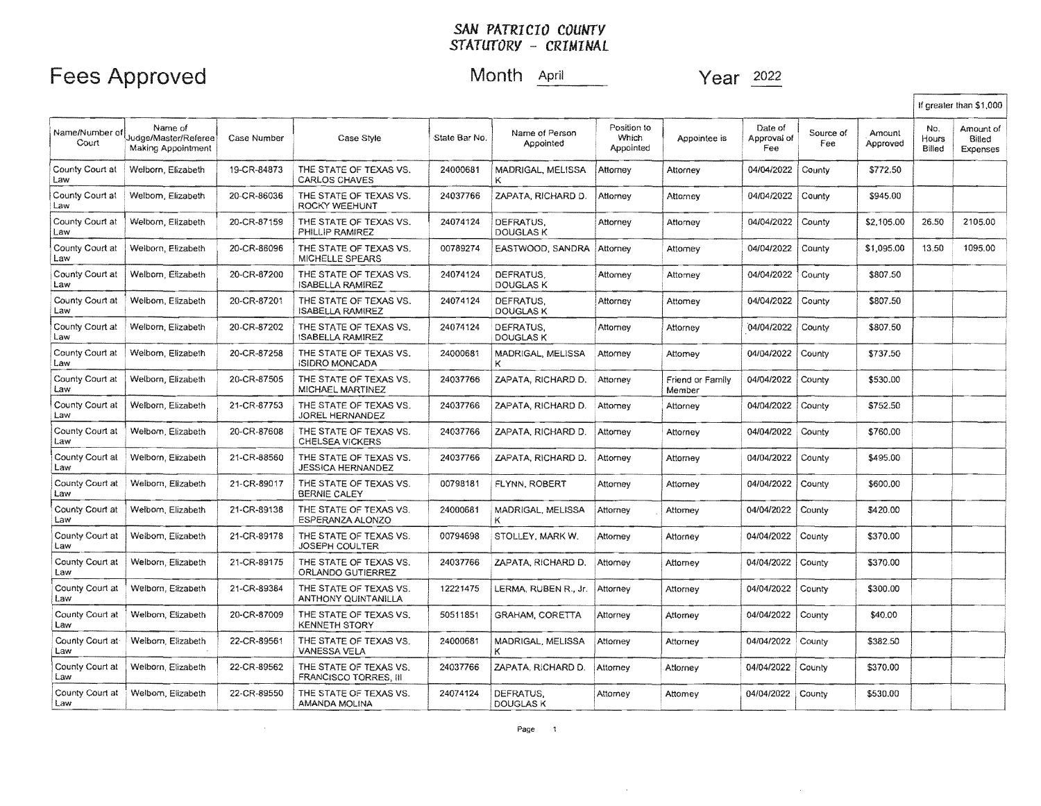### Fees Approved and Month April Month April 1992 Year 2022

 $\sim$ 

|                         |                                                              |             |                                                    |               |                               |                                   |                            |                               |                  |                    |                        | If greater than \$1,000         |
|-------------------------|--------------------------------------------------------------|-------------|----------------------------------------------------|---------------|-------------------------------|-----------------------------------|----------------------------|-------------------------------|------------------|--------------------|------------------------|---------------------------------|
| Name/Number of<br>Court | Name of<br>Judge/Master/Referee<br><b>Making Appointment</b> | Case Number | Case Style                                         | State Bar No. | Name of Person<br>Appointed   | Position to<br>Which<br>Appointed | Appointee is               | Date of<br>Approval of<br>Fee | Source of<br>Fee | Amount<br>Approved | No.<br>Hours<br>Billed | Amount of<br>Billed<br>Expenses |
| County Court at<br>Law  | Welborn, Elizabeth                                           | 19-CR-84873 | THE STATE OF TEXAS VS.<br><b>CARLOS CHAVES</b>     | 24000681      | MADRIGAL, MELISSA<br>ĸ        | Attorney                          | Attorney                   | 04/04/2022                    | County           | \$772.50           |                        |                                 |
| County Court at<br>Law  | Welbom, Elizabeth                                            | 20-CR-86036 | THE STATE OF TEXAS VS.<br><b>ROCKY WEEHUNT</b>     | 24037766      | ZAPATA, RICHARD D.            | Attorney                          | Attorney                   | 04/04/2022                    | County           | \$945.00           |                        |                                 |
| County Court at<br>Law  | Welborn, Elizabeth                                           | 20-CR-87159 | THE STATE OF TEXAS VS.<br>PHILLIP RAMIREZ          | 24074124      | DEFRATUS.<br><b>DOUGLASK</b>  | Attorney                          | Attorney                   | 04/04/2022                    | County           | \$2,105.00         | 26.50                  | 2105.00                         |
| County Court at<br>Law  | Welborn, Elizabeth                                           | 20-CR-86096 | THE STATE OF TEXAS VS.<br><b>MICHELLE SPEARS</b>   | 00789274      | EASTWOOD, SANDRA              | Attorney                          | Attomey                    | 04/04/2022                    | County           | \$1,095.00         | 13.50                  | 1095.00                         |
| County Court at<br>Law  | Welborn, Elizabeth                                           | 20-CR-87200 | THE STATE OF TEXAS VS.<br><b>ISABELLA RAMIREZ</b>  | 24074124      | DEFRATUS.<br><b>DOUGLAS K</b> | Attorney                          | Attomey                    | 04/04/2022                    | County           | \$807.50           |                        |                                 |
| County Court at<br>Law  | Welborn, Elizabeth                                           | 20-CR-87201 | THE STATE OF TEXAS VS.<br><b>ISABELLA RAMIREZ</b>  | 24074124      | DEFRATUS.<br><b>DOUGLAS K</b> | Attorney                          | Attomey                    | 04/04/2022                    | County           | \$807.50           |                        |                                 |
| County Court at<br>Law  | Welborn, Elizabeth                                           | 20-CR-87202 | THE STATE OF TEXAS VS.<br><b>ISABELLA RAMIREZ</b>  | 24074124      | DEFRATUS.<br>DOUGLAS K        | Attorney                          | Attorney                   | 04/04/2022                    | County           | \$807.50           |                        |                                 |
| County Court at<br>Law  | Welborn, Elizabeth                                           | 20-CR-87258 | THE STATE OF TEXAS VS.<br><b>ISIDRO MONCADA</b>    | 24000681      | MADRIGAL, MELISSA             | Attornev                          | Attomey                    | 04/04/2022                    | County           | \$737.50           |                        |                                 |
| County Court at<br>Law  | Welborn, Elizabeth                                           | 20-CR-87505 | THE STATE OF TEXAS VS.<br>MICHAEL MARTINEZ         | 24037766      | ZAPATA, RICHARD D.            | Attorney                          | Friend or Family<br>Member | 04/04/2022                    | County           | \$530.00           |                        |                                 |
| County Court at<br>Law  | Welborn, Elizabeth                                           | 21-CR-87753 | THE STATE OF TEXAS VS.<br>JOREL HERNANDEZ          | 24037766      | ZAPATA, RICHARD D.            | Attorney                          | Attorney                   | 04/04/2022                    | County           | \$752.50           |                        |                                 |
| County Court at<br>Law  | Welborn, Elizabeth                                           | 20-CR-87608 | THE STATE OF TEXAS VS.<br><b>CHELSEA VICKERS</b>   | 24037766      | ZAPATA. RICHARD D.            | Attorney                          | Attorney                   | 04/04/2022                    | County           | \$760.00           |                        |                                 |
| County Court at<br>Law  | Welborn, Elizabeth                                           | 21-CR-88560 | THE STATE OF TEXAS VS.<br><b>JESSICA HERNANDEZ</b> | 24037766      | ZAPATA, RICHARD D.            | Attorney                          | Attorney                   | 04/04/2022                    | County           | \$495.00           |                        |                                 |
| County Court at<br>Law  | Welborn, Elizabeth                                           | 21-CR-89017 | THE STATE OF TEXAS VS.<br><b>BERNIE CALEY</b>      | 00798181      | FLYNN, ROBERT                 | Attorney                          | Attorney                   | 04/04/2022                    | County           | \$600.00           |                        |                                 |
| County Court at<br>Law  | Welborn, Elizabeth                                           | 21-CR-89138 | THE STATE OF TEXAS VS.<br>ESPERANZA ALONZO         | 24000681      | MADRIGAL, MELISSA<br>κ        | Attorney                          | Attorney                   | 04/04/2022                    | County           | \$420.00           |                        |                                 |
| County Court at<br>Law  | Welborn, Elizabeth                                           | 21-CR-89178 | THE STATE OF TEXAS VS.<br><b>JOSEPH COULTER</b>    | 00794698      | STOLLEY, MARK W.              | Attorney                          | Attorney                   | 04/04/2022                    | County           | \$370.00           |                        |                                 |
| County Court at<br>Law  | Welborn, Elizabeth                                           | 21-CR-89175 | THE STATE OF TEXAS VS.<br>ORLANDO GUTIERREZ        | 24037766      | ZAPATA, RICHARD D.            | Attomey                           | Attorney                   | 04/04/2022                    | County           | \$370.00           |                        |                                 |
| County Court at<br>Law  | Welborn, Elizabeth                                           | 21-CR-89384 | THE STATE OF TEXAS VS.<br>ANTHONY QUINTANILLA      | 12221475      | LERMA, RUBEN R., Jr.          | Attorney                          | Attorney                   | 04/04/2022                    | County           | \$300.00           |                        |                                 |
| County Court at<br>Law  | Welborn, Elizabeth                                           | 20-CR-87009 | THE STATE OF TEXAS VS.<br><b>KENNETH STORY</b>     | 50511851      | <b>GRAHAM, CORETTA</b>        | Attorney                          | Attorney                   | 04/04/2022                    | County           | \$40.00            |                        |                                 |
| County Court at-<br>Law | Welborn, Elizabeth                                           | 22-CR-89561 | THE STATE OF TEXAS VS.<br><b>VANESSA VELA</b>      | 24000681      | MADRIGAL. MELISSA<br>ĸ        | Attorney                          | Attorney                   | 04/04/2022                    | County           | \$382.50           |                        |                                 |
| County Court at<br>Law  | Welborn, Elizabeth                                           | 22-CR-89562 | THE STATE OF TEXAS VS.<br>FRANCISCO TORRES, III    | 24037766      | ZAPATA, RICHARD D.            | Attorney                          | Atlorney                   | 04/04/2022                    | County           | \$370.00           |                        |                                 |
| County Court at<br>Law  | Welborn, Elizabeth                                           | 22-CR-89550 | THE STATE OF TEXAS VS.<br>AMANDA MOLINA            | 24074124      | DEFRATUS.<br><b>DOUGLAS K</b> | Attorney                          | Attomey                    | 04/04/2022                    | County           | \$530.00           |                        |                                 |

 $\sim$ 

 $\sim 100$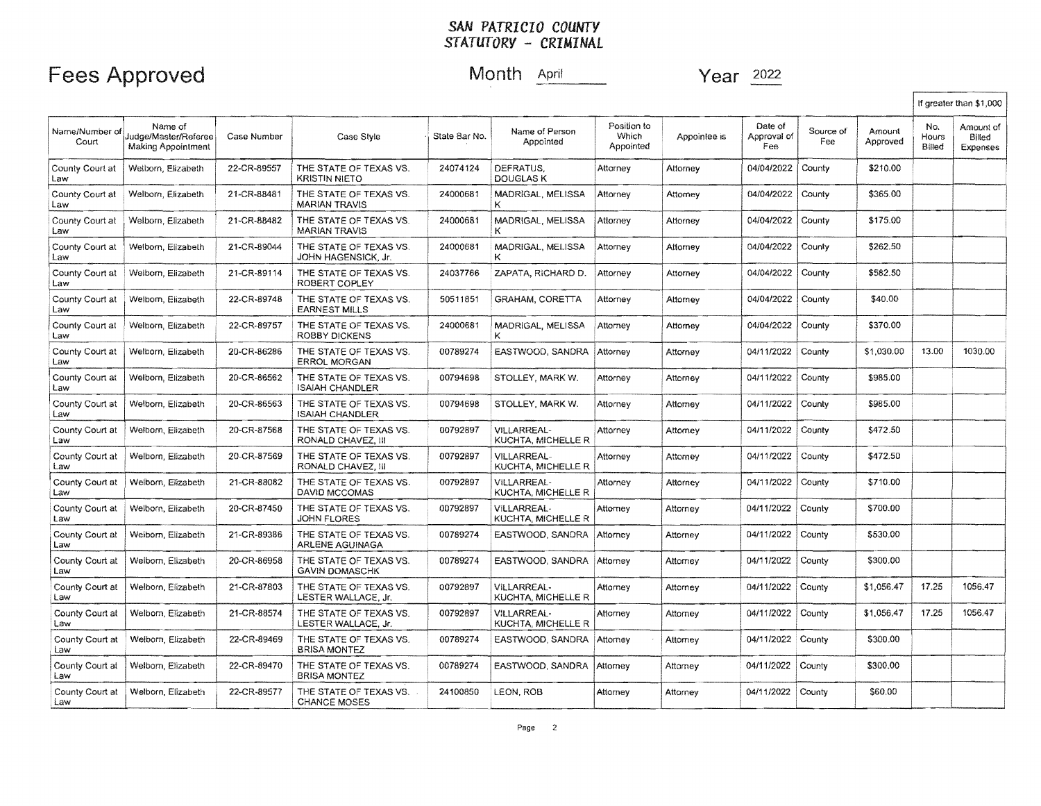### Fees Approved Month April

Year 2022

|                         |                                                       |             |                                                      |               |                                          |                                   |              |                               |                  | If greater than \$1,000 |                        |                                 |
|-------------------------|-------------------------------------------------------|-------------|------------------------------------------------------|---------------|------------------------------------------|-----------------------------------|--------------|-------------------------------|------------------|-------------------------|------------------------|---------------------------------|
| Name/Number of<br>Court | Name of<br>Judge/Master/Referee<br>Making Appointment | Case Number | Case Style                                           | State Bar No. | Name of Person<br>Appointed              | Position to<br>Which<br>Appointed | Appointee is | Date of<br>Approval of<br>Fee | Source of<br>Fee | Amount<br>Approved      | No.<br>Hours<br>Billed | Amount of<br>Billed<br>Expenses |
| County Court at<br>Law  | Welborn, Elizabeth                                    | 22-CR-89557 | THE STATE OF TEXAS VS.<br><b>KRISTIN NIETO</b>       | 24074124      | DEFRATUS.<br><b>DOUGLAS K</b>            | Attorney                          | Attorney     | 04/04/2022                    | County           | \$210.00                |                        |                                 |
| County Court at<br>Law  | Welborn, Elizabeth                                    | 21-CR-88481 | THE STATE OF TEXAS VS.<br><b>MARIAN TRAVIS</b>       | 24000681      | MADRIGAL, MELISSA<br>ĸ                   | Attorney                          | Attorney     | 04/04/2022                    | County           | \$365.00                |                        |                                 |
| County Court at<br>Law  | Welborn, Elizabeth                                    | 21-CR-88482 | THE STATE OF TEXAS VS.<br><b>MARIAN TRAVIS</b>       | 24000681      | MADRIGAL, MELISSA<br>κ                   | Attorney                          | Attorney     | 04/04/2022                    | County           | \$175.00                |                        |                                 |
| County Court at<br>Law  | Welborn, Elizabeth                                    | 21-CR-89044 | THE STATE OF TEXAS VS.<br><b>JOHN HAGENSICK, Jr.</b> | 24000681      | MADRIGAL, MELISSA<br>ĸ                   | Attorney                          | Attorney     | 04/04/2022                    | County           | \$262.50                |                        |                                 |
| County Court at<br>Law  | Welborn, Elizabeth                                    | 21-CR-89114 | THE STATE OF TEXAS VS.<br>ROBERT COPLEY              | 24037766      | ZAPATA, RICHARD D.                       | Attorney                          | Attorney     | 04/04/2022                    | County           | \$582.50                |                        |                                 |
| County Court at<br>Law  | Welborn, Elizabeth                                    | 22-CR-89748 | THE STATE OF TEXAS VS.<br><b>EARNEST MILLS</b>       | 50511851      | <b>GRAHAM, CORETTA</b>                   | Attorney                          | Attomey      | 04/04/2022                    | County           | \$40.00                 |                        |                                 |
| County Court at<br>Law  | Welborn, Elizabeth                                    | 22-CR-89757 | THE STATE OF TEXAS VS.<br><b>ROBBY DICKENS</b>       | 24000681      | MADRIGAL, MELISSA<br>κ                   | Attorney                          | Attorney     | 04/04/2022                    | County           | \$370.00                |                        |                                 |
| County Court at<br>Law  | Welborn, Elizabeth                                    | 20-CR-86286 | THE STATE OF TEXAS VS.<br><b>ERROL MORGAN</b>        | 00789274      | EASTWOOD, SANDRA                         | Attorney                          | Attorney     | 04/11/2022                    | County           | \$1,030.00              | 13.00                  | 1030.00                         |
| County Court at<br>Law  | Welborn, Elizabeth                                    | 20-CR-86562 | THE STATE OF TEXAS VS.<br><b>ISAIAH CHANDLER</b>     | 00794698      | STOLLEY, MARK W.                         | Attorney                          | Attorney     | 04/11/2022                    | County           | \$985.00                |                        |                                 |
| County Court at<br>Law  | Welborn, Elizabeth                                    | 20-CR-86563 | THE STATE OF TEXAS VS.<br><b>ISAIAH CHANDLER</b>     | 00794698      | STOLLEY, MARK W.                         | Attorney                          | Attorney     | 04/11/2022                    | County           | \$985.00                |                        |                                 |
| County Court at<br>Law  | Welborn, Elizabeth                                    | 20-CR-87568 | THE STATE OF TEXAS VS.<br>RONALD CHAVEZ, III         | 00792897      | VILLARREAL-<br>KUCHTA, MICHELLE R        | Attorney                          | Attorney     | 04/11/2022                    | County           | \$472.50                |                        |                                 |
| County Court at<br>Law  | Welborn, Elizabeth                                    | 20-CR-87569 | THE STATE OF TEXAS VS.<br>RONALD CHAVEZ, III         | 00792897      | <b>VILLARREAL-</b><br>KUCHTA, MICHELLE R | Attorney                          | Attorney     | 04/11/2022                    | County           | \$472.50                |                        |                                 |
| County Court at<br>Law  | Welborn, Elizabeth                                    | 21-CR-88082 | THE STATE OF TEXAS VS.<br>DAVID MCCOMAS              | 00792897      | VILLARREAL-<br>KUCHTA, MICHELLE R        | Attorney                          | Attorney     | 04/11/2022                    | County           | \$710.00                |                        |                                 |
| County Court at<br>Law  | Welborn, Elizabeth                                    | 20-CR-87450 | THE STATE OF TEXAS VS.<br><b>JOHN FLORES</b>         | 00792897      | VILLARREAL-<br>KUCHTA, MICHELLE R        | Attorney                          | Attorney     | 04/11/2022                    | County           | \$700.00                |                        |                                 |
| County Court at<br>Law  | Weiborn, Elizabeth                                    | 21-CR-89386 | THE STATE OF TEXAS VS.<br><b>ARLENE AGUINAGA</b>     | 00789274      | EASTWOOD, SANDRA                         | Attorney                          | Attorney     | 04/11/2022                    | County           | \$530.00                |                        |                                 |
| County Court at<br>Law  | Welborn, Elizabeth                                    | 20-CR-86958 | THE STATE OF TEXAS VS.<br><b>GAVIN DOMASCHK</b>      | 00789274      | EASTWOOD, SANDRA Attorney                |                                   | Attorney     | 04/11/2022                    | County           | \$300.00                |                        |                                 |
| County Court at<br>Law  | Welborn, Elizabeth                                    | 21-CR-87803 | THE STATE OF TEXAS VS.<br>LESTER WALLACE, Jr.        | 00792897      | VILLARREAL-<br>KUCHTA, MICHELLE R        | Attorney                          | Attorney     | 04/11/2022                    | County           | \$1,056.47              | 17.25                  | 1056.47                         |
| County Court at<br>Law  | Welborn, Elizabeth                                    | 21-CR-88574 | THE STATE OF TEXAS VS.<br>LESTER WALLACE, Jr.        | 00792897      | VILLARREAL-<br>KUCHTA, MICHELLE R        | Attorney                          | Attorney     | 04/11/2022                    | County           | \$1,056,47              | 17.25                  | 1056.47                         |
| County Court at<br>Law  | Welborn, Elizabeth                                    | 22-CR-89469 | THE STATE OF TEXAS VS.<br><b>BRISA MONTEZ</b>        | 00789274      | EASTWOOD, SANDRA                         | Attorney                          | Attorney     | 04/11/2022                    | County           | \$300.00                |                        |                                 |
| County Court at<br>Law  | Welborn, Elizabeth                                    | 22-CR-89470 | THE STATE OF TEXAS VS.<br><b>BRISA MONTEZ</b>        | 00789274      | EASTWOOD, SANDRA                         | Attorney                          | Attorney     | 04/11/2022                    | County           | \$300.00                |                        |                                 |
| County Court at<br>Law  | Welborn, Elizabeth                                    | 22-CR-89577 | THE STATE OF TEXAS VS.<br><b>CHANCE MOSES</b>        | 24100850      | LEON, ROB                                | Attorney                          | Attorney     | 04/11/2022                    | County           | \$60.00                 |                        |                                 |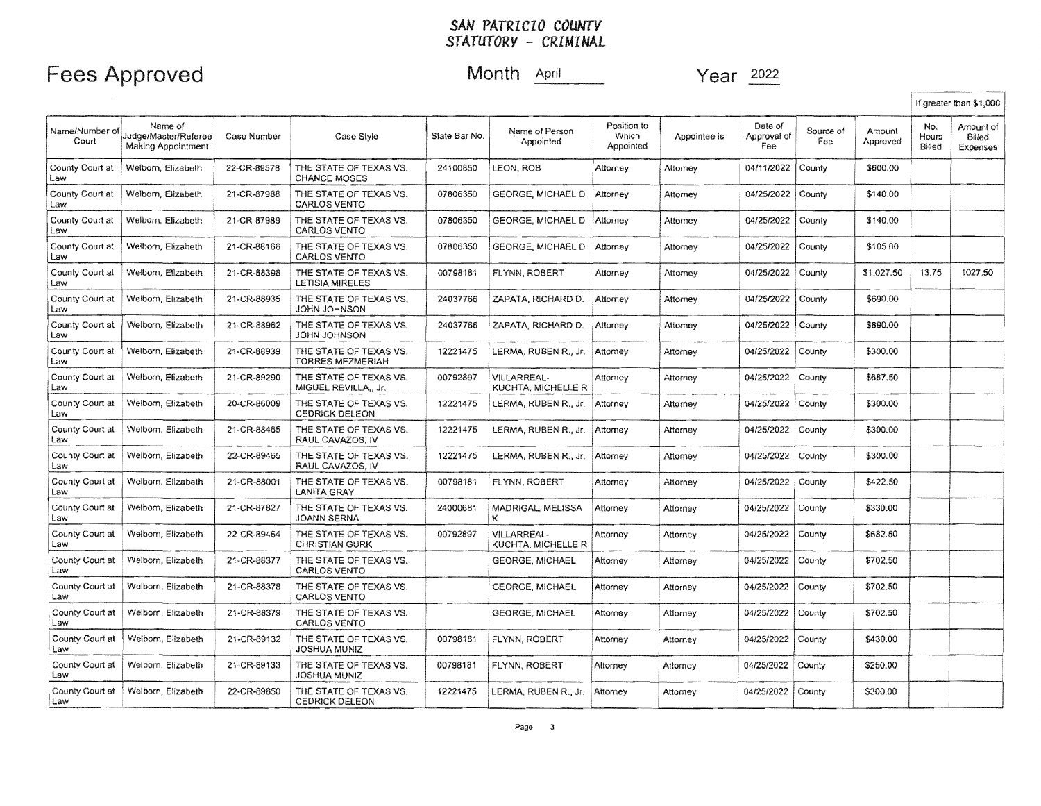### Fees Approved Month April 1992 Month April 1993

|                         |                                                              |             |                                                   |               |                                          |                                   |              |                               |                  |                    |                        | If greater than \$1,000         |
|-------------------------|--------------------------------------------------------------|-------------|---------------------------------------------------|---------------|------------------------------------------|-----------------------------------|--------------|-------------------------------|------------------|--------------------|------------------------|---------------------------------|
| Name/Number of<br>Court | Name of<br>Judge/Master/Referee<br><b>Making Appointment</b> | Case Number | Case Style                                        | Slate Bar No. | Name of Person<br>Appointed              | Position to<br>Which<br>Appointed | Appointee is | Date of<br>Approval of<br>Fee | Source of<br>Fee | Amount<br>Approved | No.<br>Hours<br>Billed | Amount of<br>Billed<br>Expenses |
| County Court at<br>Law  | Welborn, Elizabeth                                           | 22-CR-89578 | THE STATE OF TEXAS VS.<br><b>CHANCE MOSES</b>     | 24100850      | LEON, ROB                                | Attorney                          | Attorney     | 04/11/2022                    | County           | \$600.00           |                        |                                 |
| County Court at<br>Law  | Welborn, Elizabeth                                           | 21-CR-87988 | THE STATE OF TEXAS VS.<br><b>CARLOS VENTO</b>     | 07806350      | GEORGE, MICHAEL D                        | Attorney                          | Attorney     | 04/25/2022                    | County           | \$140.00           |                        |                                 |
| County Court at<br>Law  | Welborn, Elizabeth                                           | 21-CR-87989 | THE STATE OF TEXAS VS.<br><b>CARLOS VENTO</b>     | 07806350      | GEORGE. MICHAEL D                        | Attorney                          | Attorney     | 04/25/2022                    | County           | \$140.00           |                        |                                 |
| County Court at<br>Law  | Welborn, Elizabeth                                           | 21-CR-88166 | THE STATE OF TEXAS VS.<br><b>CARLOS VENTO</b>     | 07806350      | GEORGE, MICHAEL D                        | Attorney                          | Attorney     | 04/25/2022                    | County           | \$105.00           |                        |                                 |
| County Court at<br>Law  | Welborn, Elizabeth                                           | 21-CR-88398 | THE STATE OF TEXAS VS.<br><b>LETISIA MIRELES</b>  | 00798181      | FLYNN, ROBERT                            | Attorney                          | Attomey      | 04/25/2022                    | County           | \$1,027.50         | 13.75                  | 1027.50                         |
| County Court at<br>Law  | Welbom, Elizabeth                                            | 21-CR-88935 | THE STATE OF TEXAS VS.<br><b>JOHN JOHNSON</b>     | 24037766      | ZAPATA, RICHARD D.                       | Attorney                          | Attorney     | 04/25/2022                    | County           | \$690.00           |                        |                                 |
| County Court at<br>Law  | Welborn, Elizabeth                                           | 21-CR-88962 | THE STATE OF TEXAS VS.<br>JOHN JOHNSON            | 24037766      | ZAPATA, RICHARD D.                       | Attorney                          | Attorney     | 04/25/2022                    | County           | \$690.00           |                        |                                 |
| County Court at<br>Law  | Welborn, Elizabeth                                           | 21-CR-88939 | THE STATE OF TEXAS VS.<br><b>TORRES MEZMERIAH</b> | 12221475      | LERMA, RUBEN R., Jr.                     | Attomey                           | Attomey      | 04/25/2022                    | County           | \$300.00           |                        |                                 |
| County Court at<br>Law  | Welbom, Elizabeth                                            | 21-CR-89290 | THE STATE OF TEXAS VS.<br>MIGUEL REVILLA., Jr.    | 00792897      | <b>VILLARREAL-</b><br>KUCHTA, MICHELLE R | Attorney                          | Attorney     | 04/25/2022                    | County           | \$687.50           |                        |                                 |
| County Court at<br>Law  | Welborn, Elizabeth                                           | 20-CR-86009 | THE STATE OF TEXAS VS.<br><b>CEDRICK DELEON</b>   | 12221475      | LERMA, RUBEN R., Jr.                     | Attorney                          | Attorney     | 04/25/2022                    | County           | \$300.00           |                        |                                 |
| County Court at<br>Law  | Welborn, Elizabeth                                           | 21-CR-88465 | THE STATE OF TEXAS VS.<br>RAUL CAVAZOS, IV        | 12221475      | LERMA, RUBEN R., Jr.                     | Attorney                          | Attorney     | 04/25/2022                    | County           | \$300.00           |                        |                                 |
| County Court at<br>Law  | Welborn, Elizabeth                                           | 22-CR-89465 | THE STATE OF TEXAS VS.<br>RAUL CAVAZOS, IV        | 12221475      | LERMA, RUBEN R., Jr.                     | Attomey                           | Attorney     | 04/25/2022                    | County           | \$300.00           |                        |                                 |
| County Court at<br>Law  | Welborn, Elizabeth                                           | 21-CR-88001 | THE STATE OF TEXAS VS.<br>LANITA GRAY             | 00798181      | FLYNN, ROBERT                            | Attorney                          | Atlorney     | 04/25/2022                    | County           | \$422.50           |                        |                                 |
| County Court at<br>Law  | Welborn, Elizabeth                                           | 21-CR-87827 | THE STATE OF TEXAS VS.<br>JOANN SERNA             | 24000681      | MADRIGAL, MELISSA<br>ĸ                   | Attorney                          | Attorney     | 04/25/2022                    | County           | \$330.00           |                        |                                 |
| County Court at<br>Law  | Welbom, Elizabeth                                            | 22-CR-89464 | THE STATE OF TEXAS VS.<br><b>CHRISTIAN GURK</b>   | 00792897      | <b>VILLARREAL-</b><br>KUCHTA, MICHELLE R | Attorney                          | Attorney     | 04/25/2022                    | County           | \$582.50           |                        |                                 |
| County Court at<br>Law  | Welborn, Elizabeth                                           | 21-CR-88377 | THE STATE OF TEXAS VS.<br><b>CARLOS VENTO</b>     |               | <b>GEORGE, MICHAEL</b>                   | Attorney                          | Attorney     | 04/25/2022                    | County           | \$702.50           |                        |                                 |
| County Court at<br>Law  | Welborn, Elizabeth                                           | 21-CR-88378 | THE STATE OF TEXAS VS.<br><b>CARLOS VENTO</b>     |               | <b>GEORGE, MICHAEL</b>                   | Attorney                          | Attorney     | 04/25/2022                    | County           | \$702.50           |                        |                                 |
| County Court at<br>Law  | Welborn, Elizabeth                                           | 21-CR-88379 | THE STATE OF TEXAS VS.<br><b>CARLOS VENTO</b>     |               | <b>GEORGE, MICHAEL</b>                   | Attorney                          | Attorney     | 04/25/2022                    | County           | \$702.50           |                        |                                 |
| County Court at<br>Law  | Welborn, Elizabeth                                           | 21-CR-89132 | THE STATE OF TEXAS VS.<br>JOSHUA MUNIZ            | 00798181      | FLYNN, ROBERT                            | Attorney                          | Attorney     | 04/25/2022                    | County           | \$430.00           |                        |                                 |
| County Court at<br>Law  | Welborn, Elizabeth                                           | 21-CR-89133 | THE STATE OF TEXAS VS.<br>JOSHUA MUNIZ            | 00798181      | FLYNN, ROBERT                            | Attorney                          | Attorney     | 04/25/2022                    | County           | \$250.00           |                        |                                 |
| County Court at<br>Law  | Welborn, Elizabeth                                           | 22-CR-89850 | THE STATE OF TEXAS VS.<br><b>CEDRICK DELEON</b>   | 12221475      | LERMA, RUBEN R., Jr.                     | Attorney                          | Attorney     | 04/25/2022                    | County           | \$300.00           |                        |                                 |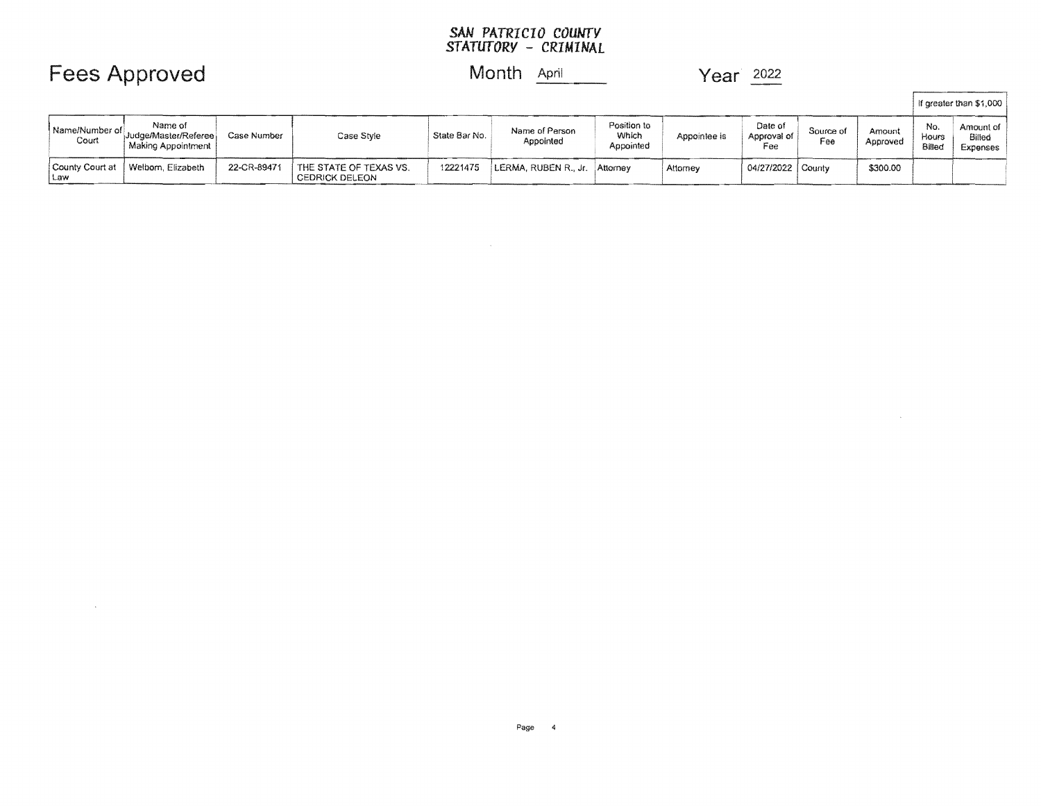## Fees Approved Month **April 1998** Year 2022

 $\sim 10$ 

### Month April

 $\sim 10^{-1}$ 

|                          |                                                       |             |                                                 |               |                             |                                   |              |                               |                  |                    |                        | If greater than \$1,000         |
|--------------------------|-------------------------------------------------------|-------------|-------------------------------------------------|---------------|-----------------------------|-----------------------------------|--------------|-------------------------------|------------------|--------------------|------------------------|---------------------------------|
| Name/Number of<br>Court  | Name of<br>Judge/Master/Referee<br>Making Appointment | Case Number | Case Style                                      | State Bar No. | Name of Person<br>Appointed | Position to<br>Which<br>Appointed | Appointee is | Date of<br>Approval of<br>Fee | Source of<br>Fee | Amount<br>Approved | No.<br>Hours<br>Billec | Amount of<br>Billec<br>Expenses |
| County Court at<br>l Law | Welborn, Elizabeth                                    | 22-CR-89471 | THE STATE OF TEXAS VS.<br><b>CEDRICK DELEON</b> | 12221475      | LERMA, RUBEN R., Jr.        | Attorney                          | Attomey      | 04/27/2022 County             |                  | \$300.00           |                        |                                 |

 $\label{eq:2.1} \mathcal{L}(\mathcal{L}^{\text{max}}_{\mathcal{L}}(\mathcal{L}^{\text{max}}_{\mathcal{L}})) \leq \mathcal{L}(\mathcal{L}^{\text{max}}_{\mathcal{L}}(\mathcal{L}^{\text{max}}_{\mathcal{L}}))$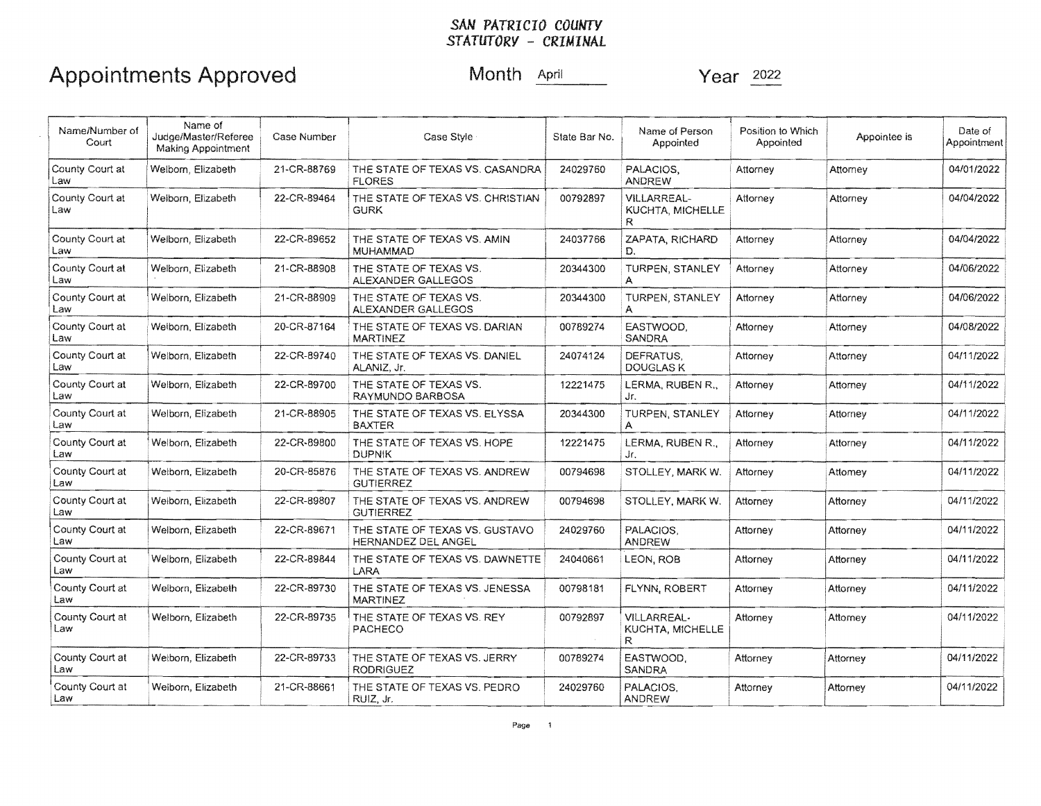## Appointments Approved Month April Year 2022

| Name/Number of<br>Court | Name of<br>Judge/Master/Referee<br>Making Appointment | Case Number | Case Style                                                   | Name of Person<br>Position to Which<br>State Bar No.<br>Appointed<br>Appointed |                                             | Appointee is | Date of<br>Appointment |            |
|-------------------------|-------------------------------------------------------|-------------|--------------------------------------------------------------|--------------------------------------------------------------------------------|---------------------------------------------|--------------|------------------------|------------|
| County Court at<br>Law  | Welbom, Elizabeth                                     | 21-CR-88769 | THE STATE OF TEXAS VS. CASANDRA<br><b>FLORES</b>             | 24029760                                                                       | PALACIOS.<br><b>ANDREW</b>                  | Attorney     | Attorney               | 04/01/2022 |
| County Court at<br>Law  | Welborn, Elizabeth                                    | 22-CR-89464 | THE STATE OF TEXAS VS. CHRISTIAN<br><b>GURK</b>              | 00792897                                                                       | <b>VILLARREAL-</b><br>KUCHTA, MICHELLE<br>R | Attorney     | Attorney               | 04/04/2022 |
| County Court at<br>Law  | Welborn, Elizabeth                                    | 22-CR-89652 | THE STATE OF TEXAS VS. AMIN<br><b>MUHAMMAD</b>               | 24037766                                                                       | ZAPATA, RICHARD<br>D.                       | Attorney     | Attorney               | 04/04/2022 |
| County Court at<br>Law  | Welborn, Elizabeth                                    | 21-CR-88908 | THE STATE OF TEXAS VS.<br>ALEXANDER GALLEGOS                 | 20344300                                                                       | TURPEN, STANLEY<br>А                        | Attorney     | Attorney               | 04/06/2022 |
| County Court at<br>Law  | Welborn, Elizabeth                                    | 21-CR-88909 | THE STATE OF TEXAS VS.<br>ALEXANDER GALLEGOS                 | 20344300                                                                       | TURPEN, STANLEY<br>A                        | Attorney     | Attorney               | 04/06/2022 |
| County Court at<br>Law  | Welborn, Elizabeth                                    | 20-CR-87164 | THE STATE OF TEXAS VS. DARIAN<br><b>MARTINEZ</b>             | 00789274                                                                       | EASTWOOD.<br><b>SANDRA</b>                  | Attorney     | Attorney               | 04/08/2022 |
| County Court at<br>Law  | Welborn, Elizabeth                                    | 22-CR-89740 | THE STATE OF TEXAS VS. DANIEL<br>ALANIZ, Jr.                 | 24074124                                                                       | DEFRATUS.<br>DOUGLAS K                      | Attorney     | Attorney               | 04/11/2022 |
| County Court at<br>Law  | Welborn, Elizabeth                                    | 22-CR-89700 | THE STATE OF TEXAS VS.<br>RAYMUNDO BARBOSA                   | 12221475                                                                       | LERMA, RUBEN R.,<br>Jr.                     | Attorney     | Attorney               | 04/11/2022 |
| County Court at<br>Law  | Welborn, Elizabeth                                    | 21-CR-88905 | THE STATE OF TEXAS VS. ELYSSA<br><b>BAXTER</b>               | 20344300                                                                       | TURPEN, STANLEY<br>А                        | Attorney     | Attorney               | 04/11/2022 |
| County Court at<br>Law  | Welborn, Elizabeth                                    | 22-CR-89800 | THE STATE OF TEXAS VS. HOPE<br><b>DUPNIK</b>                 | 12221475                                                                       | LERMA, RUBEN R.,<br>Jr.                     | Attorney     | Attorney               | 04/11/2022 |
| County Court at<br>Law  | Welborn, Elizabeth                                    | 20-CR-85876 | THE STATE OF TEXAS VS. ANDREW<br><b>GUTIERREZ</b>            | 00794698<br>STOLLEY, MARK W.<br>Attorney<br>Attomey                            |                                             |              | 04/11/2022             |            |
| County Court at<br>Law  | Weiborn, Elizabeth                                    | 22-CR-89807 | THE STATE OF TEXAS VS. ANDREW<br><b>GUTIERREZ</b>            | 00794698                                                                       | STOLLEY, MARK W.                            | Attorney     | Attorney               | 04/11/2022 |
| County Court at<br>Law  | Welborn, Elizabeth                                    | 22-CR-89671 | THE STATE OF TEXAS VS. GUSTAVO<br><b>HERNANDEZ DEL ANGEL</b> | 24029760                                                                       | PALACIOS.<br><b>ANDREW</b>                  | Attorney     | Attorney               | 04/11/2022 |
| County Court at<br>Law  | Welborn, Elizabeth                                    | 22-CR-89844 | THE STATE OF TEXAS VS. DAWNETTE<br>LARA                      | 24040661                                                                       | LEON, ROB                                   | Attorney     | Attorney               | 04/11/2022 |
| County Court at<br>Law  | Welborn, Elizabeth                                    | 22-CR-89730 | THE STATE OF TEXAS VS. JENESSA<br><b>MARTINEZ</b>            | 00798181                                                                       | FLYNN, ROBERT                               | Attorney     | Attorney               | 04/11/2022 |
| County Court at<br>Law  | Welborn, Elizabeth                                    | 22-CR-89735 | THE STATE OF TEXAS VS. REY<br>PACHECO                        | 00792897                                                                       | <b>VILLARREAL-</b><br>KUCHTA, MICHELLE<br>R | Attorney     | Attorney               | 04/11/2022 |
| County Court at<br>Law  | Welborn, Elizabeth                                    | 22-CR-89733 | THE STATE OF TEXAS VS. JERRY<br><b>RODRIGUEZ</b>             | 00789274                                                                       | EASTWOOD.<br><b>SANDRA</b>                  | Attorney     | Attorney               | 04/11/2022 |
| County Court at<br>Law  | Weiborn, Elizabeth                                    | 21-CR-88661 | THE STATE OF TEXAS VS. PEDRO<br>RUIZ, Jr.                    | 24029760                                                                       | PALACIOS.<br><b>ANDREW</b>                  | Attorney     | Attorney               | 04/11/2022 |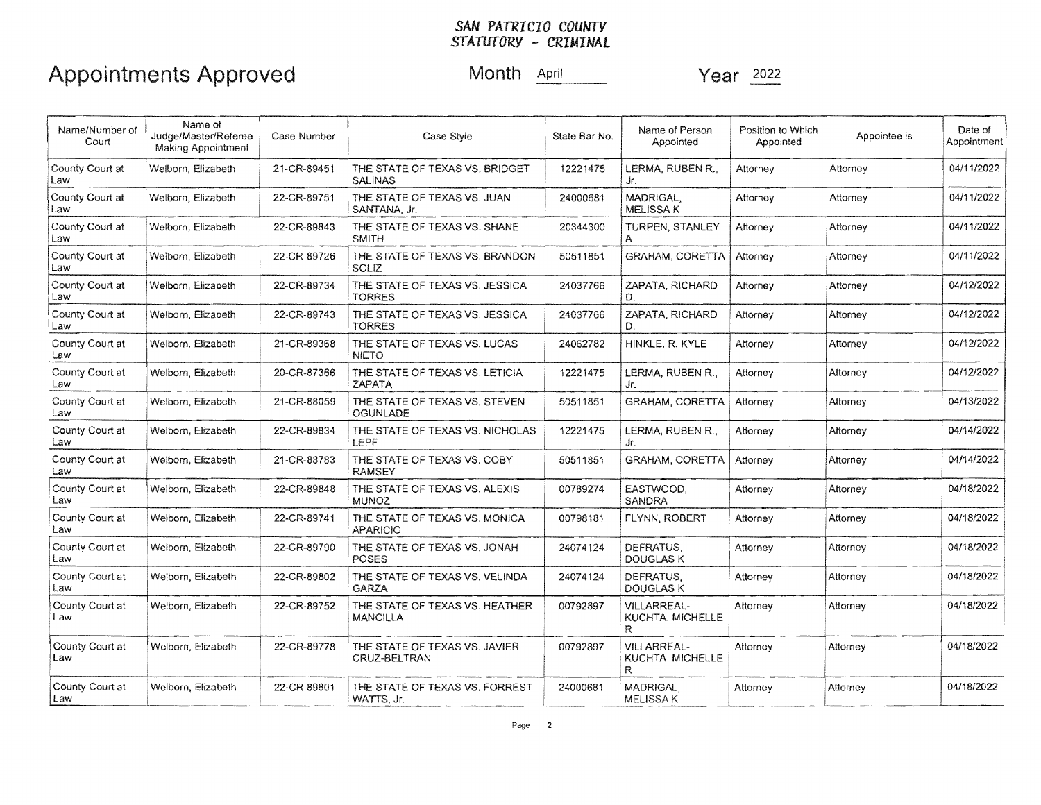# Appointments Approved Month April Month April Year 2022

| Name/Number of<br>Court | Name of<br>Judge/Master/Referee<br><b>Making Appointment</b> | Case Number | Case Style                                       | State Bar No. | Name of Person<br>Appointed                         | Position to Which<br>Appointed | Appointee is | Date of<br>Appointment |
|-------------------------|--------------------------------------------------------------|-------------|--------------------------------------------------|---------------|-----------------------------------------------------|--------------------------------|--------------|------------------------|
| County Court at<br>Law  | Welborn, Elizabeth                                           | 21-CR-89451 | THE STATE OF TEXAS VS. BRIDGET<br><b>SALINAS</b> | 12221475      | LERMA, RUBEN R.,<br>Jr.                             | Attorney                       | Attorney     | 04/11/2022             |
| County Court at<br>Law  | Welborn, Elizabeth                                           | 22-CR-89751 | THE STATE OF TEXAS VS. JUAN<br>SANTANA, Jr.      | 24000681      | MADRIGAL.<br><b>MELISSA K</b>                       | Attorney                       | Attorney     | 04/11/2022             |
| County Court at<br>Law  | Welborn, Elizabeth                                           | 22-CR-89843 | THE STATE OF TEXAS VS. SHANE<br><b>SMITH</b>     | 20344300      | TURPEN, STANLEY<br>A                                | Attorney                       | Attorney     | 04/11/2022             |
| County Court at<br>Law  | Welborn, Elizabeth                                           | 22-CR-89726 | THE STATE OF TEXAS VS, BRANDON<br>SOLIZ          | 50511851      | <b>GRAHAM, CORETTA</b>                              | Attorney                       | Attorney     | 04/11/2022             |
| County Court at<br>Law  | Welborn, Elizabeth                                           | 22-CR-89734 | THE STATE OF TEXAS VS. JESSICA<br>TORRES         | 24037766      | ZAPATA, RICHARD<br>D.                               | Attorney                       | Attorney     | 04/12/2022             |
| County Court at<br>Law  | Welborn, Elizabeth                                           | 22-CR-89743 | THE STATE OF TEXAS VS. JESSICA<br><b>TORRES</b>  | 24037766      | ZAPATA, RICHARD<br>D.                               | Attorney                       | Attorney     | 04/12/2022             |
| County Court at<br>Law  | Welborn, Elizabeth                                           | 21-CR-89368 | THE STATE OF TEXAS VS. LUCAS<br><b>NIETO</b>     | 24062782      | HINKLE, R. KYLE                                     | Attorney                       | Attorney     | 04/12/2022             |
| County Court at<br>Law  | Welborn, Elizabeth                                           | 20-CR-87366 | THE STATE OF TEXAS VS. LETICIA<br><b>ZAPATA</b>  | 12221475      | LERMA, RUBEN R.,<br>Jr.                             | Attorney                       | Attorney     | 04/12/2022             |
| County Court at<br>Law  | Welborn, Elizabeth                                           | 21-CR-88059 | THE STATE OF TEXAS VS. STEVEN<br><b>OGUNLADE</b> | 50511851      | <b>GRAHAM, CORETTA</b>                              | Attorney                       | Attorney     | 04/13/2022             |
| County Court at<br>Law  | Welborn, Elizabeth                                           | 22-CR-89834 | THE STATE OF TEXAS VS. NICHOLAS<br>LEPF          | 12221475      | LERMA, RUBEN R.,<br>Jr.                             | Attorney                       | Attorney     | 04/14/2022             |
| County Court at<br>Law  | Welborn, Elizabeth                                           | 21-CR-88783 | THE STATE OF TEXAS VS. COBY<br>RAMSEY            | 50511851      | <b>GRAHAM, CORETTA</b>                              | Attorney                       | Attorney     | 04/14/2022             |
| County Court at<br>Law  | Welborn, Elizabeth                                           | 22-CR-89848 | THE STATE OF TEXAS VS. ALEXIS<br><b>MUNOZ</b>    | 00789274      | EASTWOOD.<br>SANDRA                                 | Attorney                       | Attorney     | 04/18/2022             |
| County Court at<br>Law  | Welborn, Elizabeth                                           | 22-CR-89741 | THE STATE OF TEXAS VS. MONICA<br><b>APARICIO</b> | 00798181      | FLYNN, ROBERT                                       | Attorney                       | Attorney     | 04/18/2022             |
| County Court at<br>Law  | Welborn, Elizabeth                                           | 22-CR-89790 | THE STATE OF TEXAS VS. JONAH<br>POSES            | 24074124      | DEFRATUS.<br><b>DOUGLAS K</b>                       | Attorney                       | Attorney     | 04/18/2022             |
| County Court at<br>Law  | Welborn, Elizabeth                                           | 22-CR-89802 | THE STATE OF TEXAS VS. VELINDA<br><b>GARZA</b>   | 24074124      | DEFRATUS.<br><b>DOUGLAS K</b>                       | Attorney                       | Attorney     | 04/18/2022             |
| County Court at<br>Law  | Welborn, Elizabeth                                           | 22-CR-89752 | THE STATE OF TEXAS VS. HEATHER<br>MANCILLA       | 00792897      | <b>VILLARREAL-</b><br>KUCHTA, MICHELLE<br>R.        | Attorney                       | Attorney     | 04/18/2022             |
| County Court at<br>Law  | Welborn, Elizabeth                                           | 22-CR-89778 | THE STATE OF TEXAS VS. JAVIER<br>CRUZ-BELTRAN    | 00792897      | <b>VILLARREAL-</b><br><b>KUCHTA, MICHELLE</b><br>R. | Attorney                       | Attorney     | 04/18/2022             |
| County Court at<br>Law  | Welborn, Elizabeth                                           | 22-CR-89801 | THE STATE OF TEXAS VS. FORREST<br>WATTS, Jr.     | 24000681      | MADRIGAL.<br><b>MELISSAK</b>                        | Attorney                       | Attorney     | 04/18/2022             |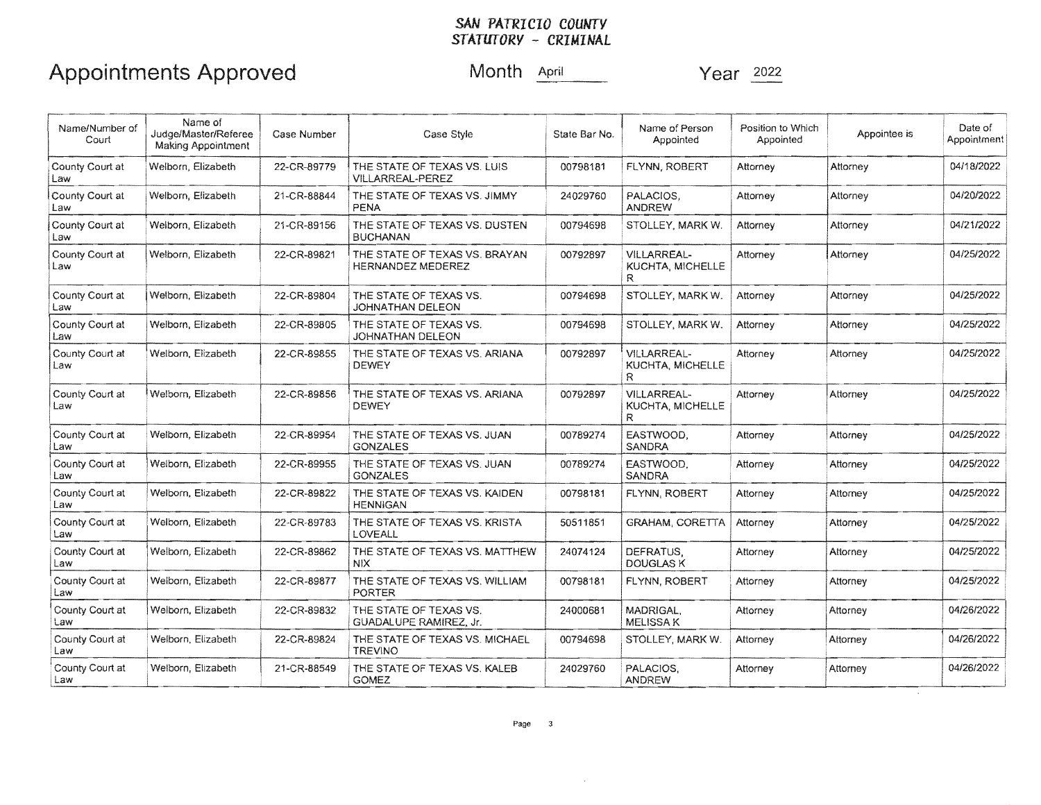## Appointments Approved Month April Month April Year 2022

| Name/Number of<br>Court | Name of<br>Judge/Master/Referee<br><b>Making Appointment</b> | Case Number | Case Style                                                | State Bar No. | Name of Person<br>Appointed                         | Position to Which<br>Appointed | Appointee is | Date of<br>Appointment |
|-------------------------|--------------------------------------------------------------|-------------|-----------------------------------------------------------|---------------|-----------------------------------------------------|--------------------------------|--------------|------------------------|
| County Court at<br>Law  | Welborn, Elizabeth                                           | 22-CR-89779 | THE STATE OF TEXAS VS. LUIS<br><b>VILLARREAL-PEREZ</b>    | 00798181      | FLYNN, ROBERT                                       | Attorney                       | Attorney     | 04/18/2022             |
| County Court at<br>Law  | Welborn, Elizabeth                                           | 21-CR-88844 | THE STATE OF TEXAS VS. JIMMY<br><b>PENA</b>               | 24029760      | PALACIOS.<br><b>ANDREW</b>                          | Attorney                       | Attorney     | 04/20/2022             |
| County Court at<br>Law  | Welborn, Elizabeth                                           | 21-CR-89156 | THE STATE OF TEXAS VS. DUSTEN<br><b>BUCHANAN</b>          | 00794698      | STOLLEY, MARK W.                                    | Attorney                       | Attorney     | 04/21/2022             |
| County Court at<br>Law  | Welborn, Elizabeth                                           | 22-CR-89821 | THE STATE OF TEXAS VS. BRAYAN<br><b>HERNANDEZ MEDEREZ</b> | 00792897      | VILLARREAL-<br>KUCHTA, MICHELLE<br>R.               | Attorney                       | Attorney     | 04/25/2022             |
| County Court at<br>Law  | Welborn, Elizabeth                                           | 22-CR-89804 | THE STATE OF TEXAS VS.<br><b>JOHNATHAN DELEON</b>         | 00794698      | STOLLEY, MARK W.                                    | Attorney                       | Attorney     | 04/25/2022             |
| County Court at<br>Law  | Welborn, Elizabeth                                           | 22-CR-89805 | THE STATE OF TEXAS VS.<br>JOHNATHAN DELEON                | 00794698      | STOLLEY, MARK W.                                    | Attorney                       | Attorney     | 04/25/2022             |
| County Court at<br>Law  | Welborn, Elizabeth                                           | 22-CR-89855 | THE STATE OF TEXAS VS. ARIANA<br><b>DEWEY</b>             | 00792897      | <b>VILLARREAL-</b><br><b>KUCHTA, MICHELLE</b><br>R. | Attorney                       | Attorney     | 04/25/2022             |
| County Court at<br>Law  | Welborn, Elizabeth                                           | 22-CR-89856 | THE STATE OF TEXAS VS. ARIANA<br><b>DEWEY</b>             | 00792897      | <b>VILLARREAL-</b><br>KUCHTA, MICHELLE<br>R         | Attorney                       | Attorney     | 04/25/2022             |
| County Court at<br>Law  | Welborn, Elizabeth                                           | 22-CR-89954 | THE STATE OF TEXAS VS. JUAN<br><b>GONZALES</b>            | 00789274      | EASTWOOD.<br><b>SANDRA</b>                          | Attorney                       | Attorney     | 04/25/2022             |
| County Court at<br>Law  | Welborn, Elizabeth                                           | 22-CR-89955 | THE STATE OF TEXAS VS. JUAN<br><b>GONZALES</b>            | 00789274      | EASTWOOD.<br>SANDRA                                 | Attorney                       | Attorney     | 04/25/2022             |
| County Court at<br>Law  | Welborn, Elizabeth                                           | 22-CR-89822 | THE STATE OF TEXAS VS. KAIDEN<br><b>HENNIGAN</b>          | 00798181      | FLYNN, ROBERT                                       | Attorney                       | Attorney     | 04/25/2022             |
| County Court at<br>Law  | Welborn, Elizabeth                                           | 22-CR-89783 | THE STATE OF TEXAS VS. KRISTA<br>LOVEALL                  | 50511851      | GRAHAM, CORETTA                                     | Attorney                       | Attorney     | 04/25/2022             |
| County Court at<br>Law  | Welborn, Elizabeth                                           | 22-CR-89862 | THE STATE OF TEXAS VS. MATTHEW<br>NIX.                    | 24074124      | DEFRATUS,<br><b>DOUGLAS K</b>                       | Attorney                       | Attorney     | 04/25/2022             |
| County Court at<br>Law  | Welborn, Elizabeth                                           | 22-CR-89877 | THE STATE OF TEXAS VS. WILLIAM<br>PORTER                  | 00798181      | FLYNN, ROBERT                                       | Attorney                       | Attorney     | 04/25/2022             |
| County Court at<br>Law  | Welborn, Elizabeth                                           | 22-CR-89832 | THE STATE OF TEXAS VS.<br>GUADALUPE RAMIREZ, Jr.          | 24000681      | MADRIGAL,<br><b>MELISSAK</b>                        | Attorney                       | Attorney     | 04/26/2022             |
| County Court at<br>Law  | Welborn, Elizabeth                                           | 22-CR-89824 | THE STATE OF TEXAS VS. MICHAEL<br><b>TREVINO</b>          | 00794698      | STOLLEY, MARK W.                                    | Attorney                       | Attorney     | 04/26/2022             |
| County Court at<br>Law  | Welborn, Elizabeth                                           | 21-CR-88549 | THE STATE OF TEXAS VS. KALEB<br><b>GOMEZ</b>              | 24029760      | PALACIOS,<br><b>ANDREW</b>                          | Attorney                       | Attorney     | 04/26/2022             |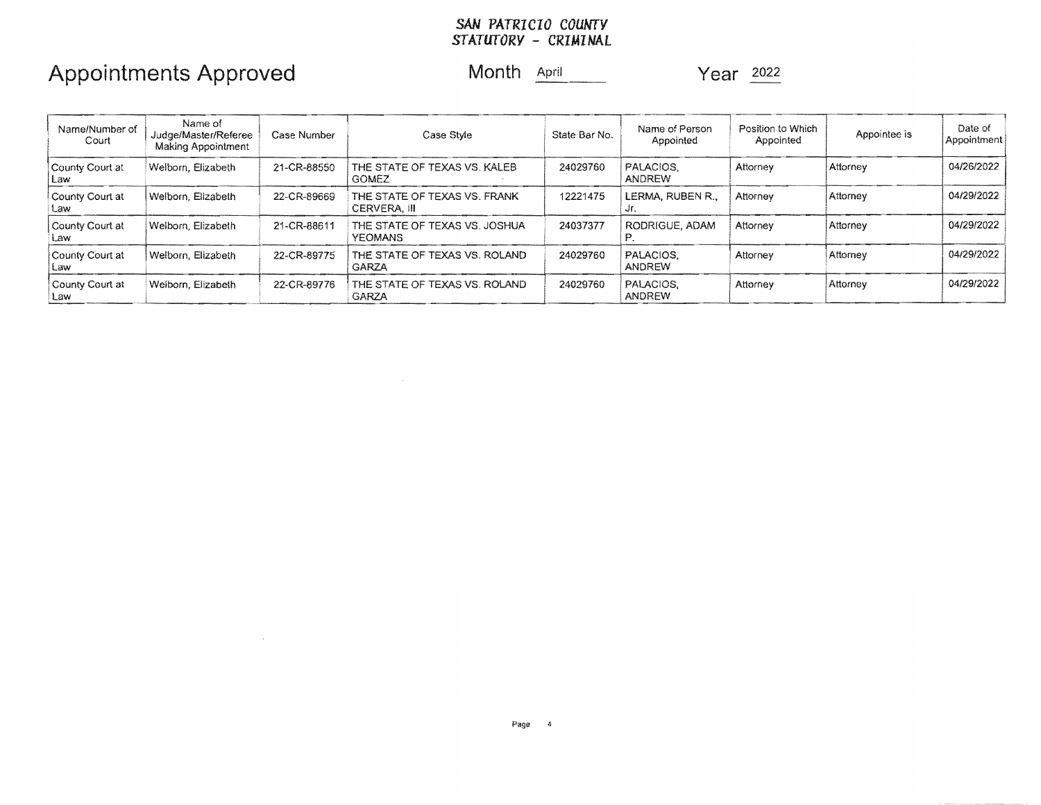## Appointments Approved Month **April 1996** Year 2022

 $\mathcal{L}^{\text{max}}_{\text{max}}$ 

| Name/Number of<br>Court | Name of<br>Judge/Master/Referee<br>Making Appointment | Case Number | Case Style                                      | State Bar No. | Name of Person<br>Appointed | Position to Which<br>Appointed | Appointee is | Date of<br>Appointment |
|-------------------------|-------------------------------------------------------|-------------|-------------------------------------------------|---------------|-----------------------------|--------------------------------|--------------|------------------------|
| County Court at<br>Law  | Welborn, Elizabeth                                    | 21-CR-88550 | THE STATE OF TEXAS VS. KALEB<br><b>GOMEZ</b>    | 24029760      | PALACIOS.<br>ANDREW         | Attorney                       | Attorney     | 04/26/2022             |
| County Court at<br>Law  | Welborn, Elizabeth                                    | 22-CR-89669 | THE STATE OF TEXAS VS. FRANK<br>CERVERA. III    | 12221475      | LERMA, RUBEN R.,<br>Jr.     | Attorney                       | Attomey      | 04/29/2022             |
| County Court at<br>Law  | Welborn, Elizabeth                                    | 21-CR-88611 | THE STATE OF TEXAS VS. JOSHUA<br><b>YEOMANS</b> | 24037377      | RODRIGUE, ADAM              | Attorney                       | Attorney     | 04/29/2022             |
| County Court at<br>Law  | Welborn, Elizabeth                                    | 22-CR-89775 | THE STATE OF TEXAS VS. ROLAND<br><b>GARZA</b>   | 24029760      | PALACIOS.<br>ANDREW         | Attorney                       | Attorney     | 04/29/2022             |
| County Court at<br>Law  | Weiborn, Elizabeth                                    | 22-CR-89776 | THE STATE OF TEXAS VS. ROLAND<br>GARZA          | 24029760      | PALACIOS.<br>ANDREW         | Attorney                       | Attorney     | 04/29/2022             |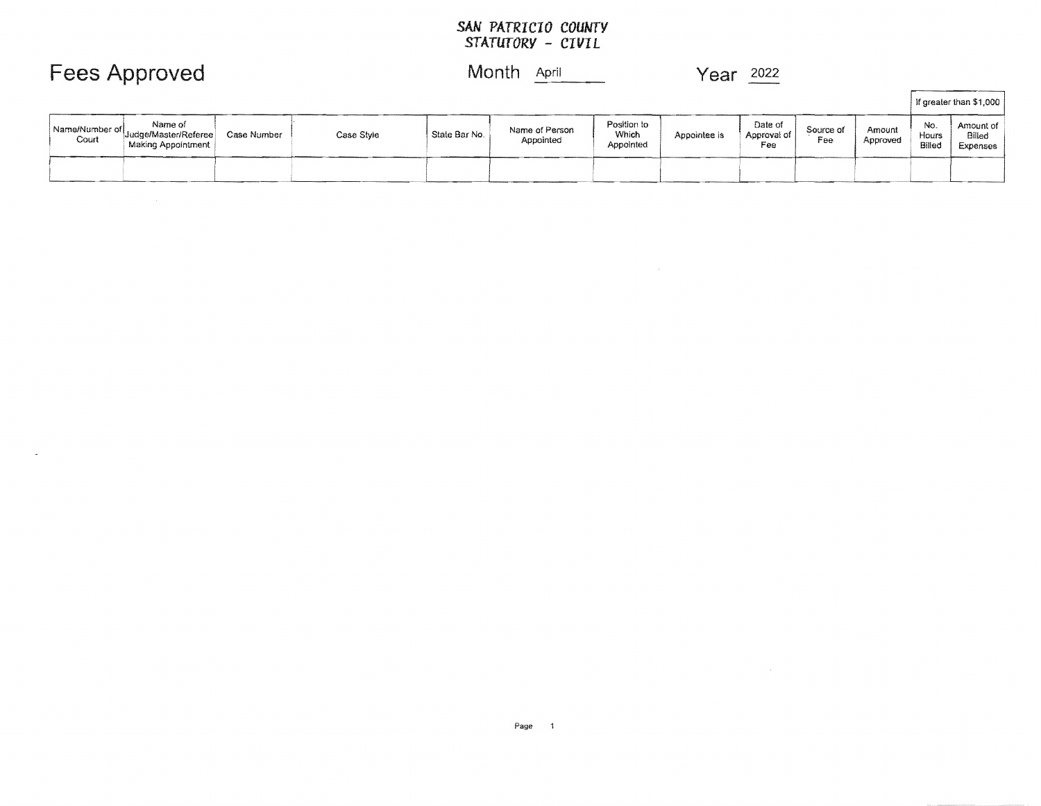### **Fees Approved Month April 1997 Year 2022**

|       |                                                                      |             |            |                            |                             |                                   |              |                               |                  |                    |                        | If greater than \$1,000                |
|-------|----------------------------------------------------------------------|-------------|------------|----------------------------|-----------------------------|-----------------------------------|--------------|-------------------------------|------------------|--------------------|------------------------|----------------------------------------|
| Court | Name of<br>Name/Number of Judge/Master/Referee<br>Making Appointment | Case Number | Case Style | <sup>1</sup> State Bar No. | Name of Person<br>Appointed | Position to<br>Which<br>Appointed | Appointee is | Date of<br>Approval of<br>Fee | Source of<br>Fee | Amount<br>Approved | No.<br>Hours<br>Billed | Amount of<br>Billed<br><b>Expenses</b> |
|       |                                                                      |             |            |                            |                             |                                   |              |                               |                  |                    |                        |                                        |